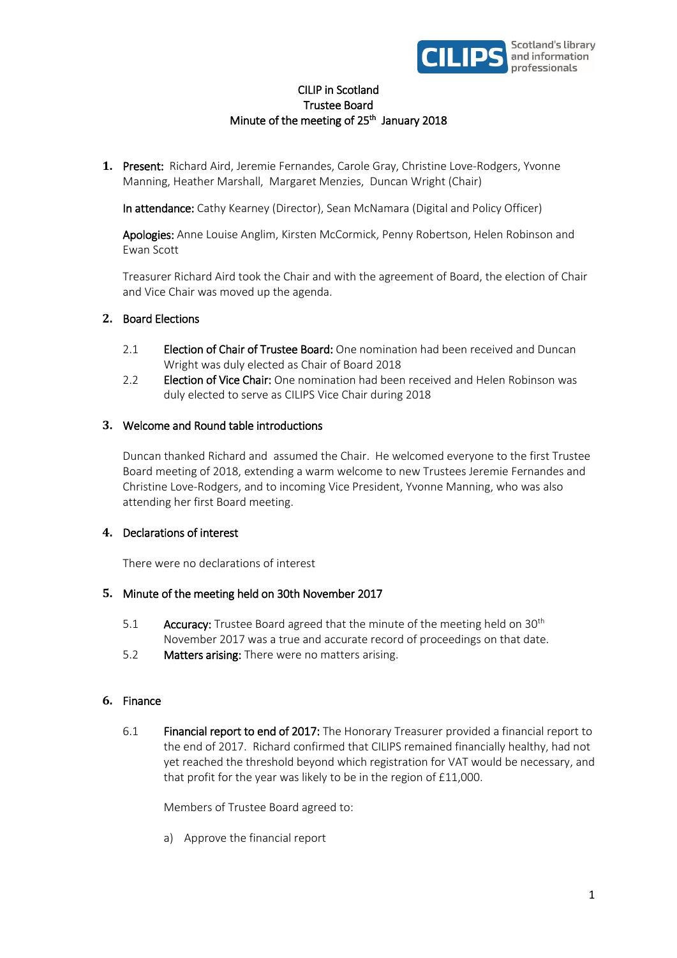

# CILIP in Scotland Trustee Board Minute of the meeting of 25<sup>th</sup> January 2018

**1.** Present: Richard Aird, Jeremie Fernandes, Carole Gray, Christine Love-Rodgers, Yvonne Manning, Heather Marshall, Margaret Menzies, Duncan Wright (Chair)

In attendance: Cathy Kearney (Director), Sean McNamara (Digital and Policy Officer)

Apologies: Anne Louise Anglim, Kirsten McCormick, Penny Robertson, Helen Robinson and Ewan Scott

Treasurer Richard Aird took the Chair and with the agreement of Board, the election of Chair and Vice Chair was moved up the agenda.

# **2.** Board Elections

- 2.1 **Election of Chair of Trustee Board:** One nomination had been received and Duncan Wright was duly elected as Chair of Board 2018
- 2.2 Election of Vice Chair: One nomination had been received and Helen Robinson was duly elected to serve as CILIPS Vice Chair during 2018

### **3.** Welcome and Round table introductions

Duncan thanked Richard and assumed the Chair. He welcomed everyone to the first Trustee Board meeting of 2018, extending a warm welcome to new Trustees Jeremie Fernandes and Christine Love-Rodgers, and to incoming Vice President, Yvonne Manning, who was also attending her first Board meeting.

# **4.** Declarations of interest

There were no declarations of interest

# **5.** Minute of the meeting held on 30th November 2017

- 5.1 **Accuracy:** Trustee Board agreed that the minute of the meeting held on  $30<sup>th</sup>$ November 2017 was a true and accurate record of proceedings on that date.
- 5.2 Matters arising: There were no matters arising.

#### **6.** Finance

6.1 Financial report to end of 2017: The Honorary Treasurer provided a financial report to the end of 2017. Richard confirmed that CILIPS remained financially healthy, had not yet reached the threshold beyond which registration for VAT would be necessary, and that profit for the year was likely to be in the region of £11,000.

Members of Trustee Board agreed to:

a) Approve the financial report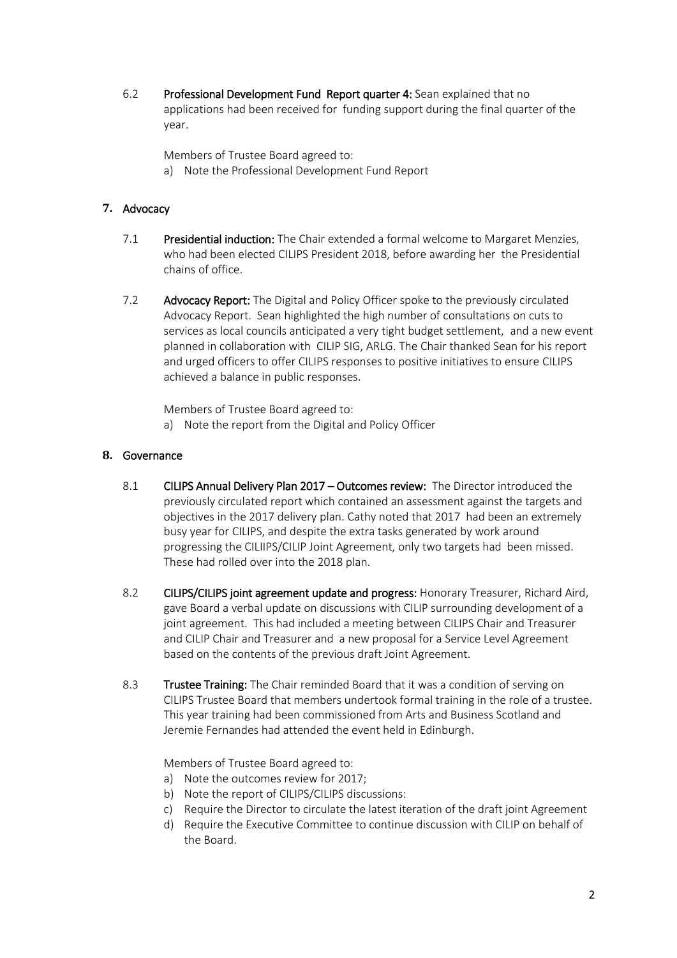6.2 Professional Development Fund Report quarter 4: Sean explained that no applications had been received for funding support during the final quarter of the year.

Members of Trustee Board agreed to:

a) Note the Professional Development Fund Report

# **7.** Advocacy

- 7.1 Presidential induction: The Chair extended a formal welcome to Margaret Menzies, who had been elected CILIPS President 2018, before awarding her the Presidential chains of office.
- 7.2 Advocacy Report: The Digital and Policy Officer spoke to the previously circulated Advocacy Report. Sean highlighted the high number of consultations on cuts to services as local councils anticipated a very tight budget settlement, and a new event planned in collaboration with CILIP SIG, ARLG. The Chair thanked Sean for his report and urged officers to offer CILIPS responses to positive initiatives to ensure CILIPS achieved a balance in public responses.

Members of Trustee Board agreed to:

a) Note the report from the Digital and Policy Officer

### **8.** Governance

- 8.1 CILIPS Annual Delivery Plan 2017 Outcomes review: The Director introduced the previously circulated report which contained an assessment against the targets and objectives in the 2017 delivery plan. Cathy noted that 2017 had been an extremely busy year for CILIPS, and despite the extra tasks generated by work around progressing the CILIIPS/CILIP Joint Agreement, only two targets had been missed. These had rolled over into the 2018 plan.
- 8.2 CILIPS/CILIPS joint agreement update and progress: Honorary Treasurer, Richard Aird, gave Board a verbal update on discussions with CILIP surrounding development of a joint agreement. This had included a meeting between CILIPS Chair and Treasurer and CILIP Chair and Treasurer and a new proposal for a Service Level Agreement based on the contents of the previous draft Joint Agreement.
- 8.3 Trustee Training: The Chair reminded Board that it was a condition of serving on CILIPS Trustee Board that members undertook formal training in the role of a trustee. This year training had been commissioned from Arts and Business Scotland and Jeremie Fernandes had attended the event held in Edinburgh.

Members of Trustee Board agreed to:

- a) Note the outcomes review for 2017;
- b) Note the report of CILIPS/CILIPS discussions:
- c) Require the Director to circulate the latest iteration of the draft joint Agreement
- d) Require the Executive Committee to continue discussion with CILIP on behalf of the Board.